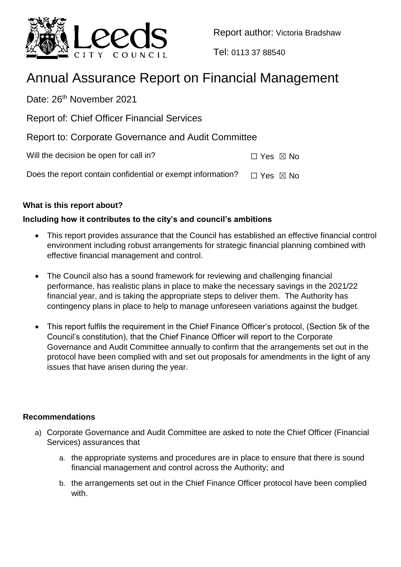

Report author: Victoria Bradshaw

Tel: 0113 37 88540

# Annual Assurance Report on Financial Management

Date: 26<sup>th</sup> November 2021

Report of: Chief Officer Financial Services

Report to: Corporate Governance and Audit Committee

Will the decision be open for call in?  $\Box$  Yes  $\boxtimes$  No

Does the report contain confidential or exempt information?  $\Box$  Yes  $\boxtimes$  No

# **What is this report about?**

# **Including how it contributes to the city's and council's ambitions**

- This report provides assurance that the Council has established an effective financial control environment including robust arrangements for strategic financial planning combined with effective financial management and control.
- The Council also has a sound framework for reviewing and challenging financial performance, has realistic plans in place to make the necessary savings in the 2021/22 financial year, and is taking the appropriate steps to deliver them. The Authority has contingency plans in place to help to manage unforeseen variations against the budget.
- This report fulfils the requirement in the Chief Finance Officer's protocol, (Section 5k of the Council's constitution), that the Chief Finance Officer will report to the Corporate Governance and Audit Committee annually to confirm that the arrangements set out in the protocol have been complied with and set out proposals for amendments in the light of any issues that have arisen during the year.

# **Recommendations**

- a) Corporate Governance and Audit Committee are asked to note the Chief Officer (Financial Services) assurances that
	- a. the appropriate systems and procedures are in place to ensure that there is sound financial management and control across the Authority; and
	- b. the arrangements set out in the Chief Finance Officer protocol have been complied with.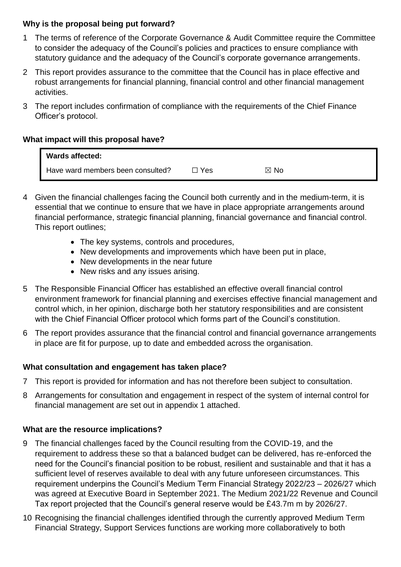## **Why is the proposal being put forward?**

- 1 The terms of reference of the Corporate Governance & Audit Committee require the Committee to consider the adequacy of the Council's policies and practices to ensure compliance with statutory guidance and the adequacy of the Council's corporate governance arrangements.
- 2 This report provides assurance to the committee that the Council has in place effective and robust arrangements for financial planning, financial control and other financial management activities.
- 3 The report includes confirmation of compliance with the requirements of the Chief Finance Officer's protocol.

## **What impact will this proposal have?**

| <b>Wards affected:</b>            |     |      |
|-----------------------------------|-----|------|
| Have ward members been consulted? | Yes | ⊠ No |

- 4 Given the financial challenges facing the Council both currently and in the medium-term, it is essential that we continue to ensure that we have in place appropriate arrangements around financial performance, strategic financial planning, financial governance and financial control. This report outlines;
	- The key systems, controls and procedures,
	- New developments and improvements which have been put in place,
	- New developments in the near future
	- New risks and any issues arising.
- 5 The Responsible Financial Officer has established an effective overall financial control environment framework for financial planning and exercises effective financial management and control which, in her opinion, discharge both her statutory responsibilities and are consistent with the Chief Financial Officer protocol which forms part of the Council's constitution.
- 6 The report provides assurance that the financial control and financial governance arrangements in place are fit for purpose, up to date and embedded across the organisation.

# **What consultation and engagement has taken place?**

- 7 This report is provided for information and has not therefore been subject to consultation.
- 8 Arrangements for consultation and engagement in respect of the system of internal control for financial management are set out in appendix 1 attached.

# **What are the resource implications?**

- 9 The financial challenges faced by the Council resulting from the COVID-19, and the requirement to address these so that a balanced budget can be delivered, has re-enforced the need for the Council's financial position to be robust, resilient and sustainable and that it has a sufficient level of reserves available to deal with any future unforeseen circumstances. This requirement underpins the Council's Medium Term Financial Strategy 2022/23 – 2026/27 which was agreed at Executive Board in September 2021. The Medium 2021/22 Revenue and Council Tax report projected that the Council's general reserve would be £43.7m m by 2026/27.
- 10 Recognising the financial challenges identified through the currently approved Medium Term Financial Strategy, Support Services functions are working more collaboratively to both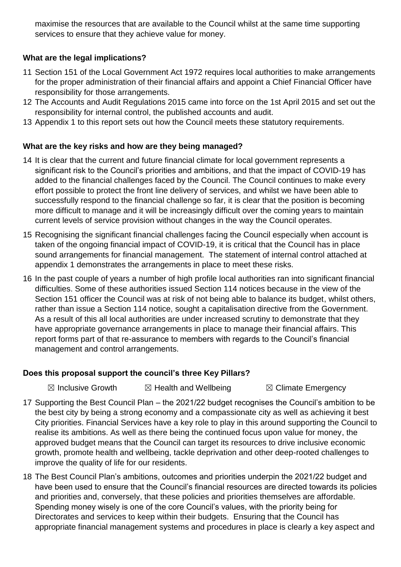maximise the resources that are available to the Council whilst at the same time supporting services to ensure that they achieve value for money.

## **What are the legal implications?**

- 11 Section 151 of the Local Government Act 1972 requires local authorities to make arrangements for the proper administration of their financial affairs and appoint a Chief Financial Officer have responsibility for those arrangements.
- 12 The Accounts and Audit Regulations 2015 came into force on the 1st April 2015 and set out the responsibility for internal control, the published accounts and audit.
- 13 Appendix 1 to this report sets out how the Council meets these statutory requirements.

# **What are the key risks and how are they being managed?**

- 14 It is clear that the current and future financial climate for local government represents a significant risk to the Council's priorities and ambitions, and that the impact of COVID-19 has added to the financial challenges faced by the Council. The Council continues to make every effort possible to protect the front line delivery of services, and whilst we have been able to successfully respond to the financial challenge so far, it is clear that the position is becoming more difficult to manage and it will be increasingly difficult over the coming years to maintain current levels of service provision without changes in the way the Council operates.
- 15 Recognising the significant financial challenges facing the Council especially when account is taken of the ongoing financial impact of COVID-19, it is critical that the Council has in place sound arrangements for financial management. The statement of internal control attached at appendix 1 demonstrates the arrangements in place to meet these risks.
- 16 In the past couple of years a number of high profile local authorities ran into significant financial difficulties. Some of these authorities issued Section 114 notices because in the view of the Section 151 officer the Council was at risk of not being able to balance its budget, whilst others, rather than issue a Section 114 notice, sought a capitalisation directive from the Government. As a result of this all local authorities are under increased scrutiny to demonstrate that they have appropriate governance arrangements in place to manage their financial affairs. This report forms part of that re-assurance to members with regards to the Council's financial management and control arrangements.

#### **Does this proposal support the council's three Key Pillars?**

 $\boxtimes$  Inclusive Growth  $\boxtimes$  Health and Wellbeing  $\boxtimes$  Climate Emergency

- 17 Supporting the Best Council Plan the 2021/22 budget recognises the Council's ambition to be the best city by being a strong economy and a compassionate city as well as achieving it best City priorities. Financial Services have a key role to play in this around supporting the Council to realise its ambitions. As well as there being the continued focus upon value for money, the approved budget means that the Council can target its resources to drive inclusive economic growth, promote health and wellbeing, tackle deprivation and other deep-rooted challenges to improve the quality of life for our residents.
- 18 The Best Council Plan's ambitions, outcomes and priorities underpin the 2021/22 budget and have been used to ensure that the Council's financial resources are directed towards its policies and priorities and, conversely, that these policies and priorities themselves are affordable. Spending money wisely is one of the core Council's values, with the priority being for Directorates and services to keep within their budgets. Ensuring that the Council has appropriate financial management systems and procedures in place is clearly a key aspect and